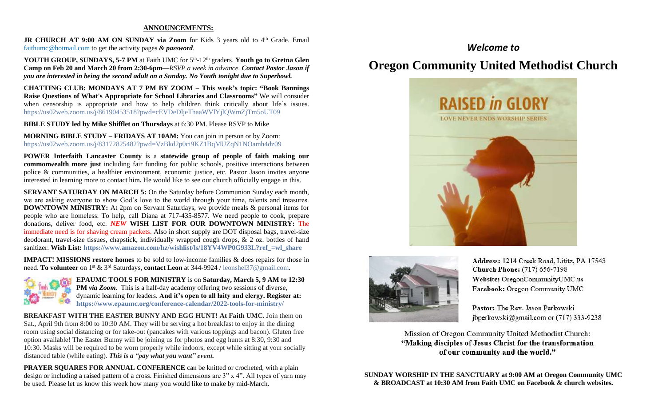### **ANNOUNCEMENTS:**

JR CHURCH AT 9:00 AM ON SUNDAY via Zoom for Kids 3 years old to 4<sup>th</sup> Grade. Email [faithumc@hotmail.com](about:blank) to get the activity pages *& password*.

YOUTH GROUP, SUNDAYS, 5-7 PM at Faith UMC for 5<sup>th</sup>-12<sup>th</sup> graders. Youth go to Gretna Glen **Camp on Feb 20 and March 20 from 2:30-6pm—***RSVP a week in advance. Contact Pastor Jason if you are interested in being the second adult on a Sunday. No Youth tonight due to Superbowl.*

**CHATTING CLUB: MONDAYS AT 7 PM BY ZOOM – This week's topic: "Book Bannings Raise Questions of What's Appropriate for School Libraries and Classrooms"** We will consuder when censorship is appropriate and how to help children think critically about life's issues. https://us02web.zoom.us/j/86190453518?pwd=cEVDeDljeThaaWVlYjlQWmZjTm5oUT09

**BIBLE STUDY led by Mike Shifflet on Thursdays** at 6:30 PM. Please RSVP to Mike

**MORNING BIBLE STUDY – FRIDAYS AT 10AM:** You can join in person or by Zoom: <https://us02web.zoom.us/j/83172825482?pwd=VzBkd2p0ci9KZ1BqMUZqN1NOamh4dz09>

**POWER Interfaith Lancaster County** is a **statewide group of people of faith making our commonwealth more just** including fair funding for public schools, positive interactions between police & communities, a healthier environment, economic justice, etc. Pastor Jason invites anyone interested in learning more to contact him**.** He would like to see our church officially engage in this.

**SERVANT SATURDAY ON MARCH 5:** On the Saturday before Communion Sunday each month, we are asking everyone to show God's love to the world through your time, talents and treasures. **DOWNTOWN MINISTRY:** At 2pm on Servant Saturdays, we provide meals & personal items for people who are homeless. To help, call Diana at 717-435-8577. We need people to cook, prepare donations, deliver food, etc. *NEW* **WISH LIST FOR OUR DOWNTOWN MINISTRY:** The immediate need is for shaving cream packets. Also in short supply are DOT disposal bags, travel-size deodorant, travel-size tissues, chapstick, individually wrapped cough drops, & 2 oz. bottles of hand sanitizer. **Wish List: [https://www.amazon.com/hz/wishlist/ls/18YV4WP0G933L?ref\\_=wl\\_share](https://www.amazon.com/hz/wishlist/ls/18YV4WP0G933L?ref_=wl_share)**

**IMPACT! MISSIONS restore homes** to be sold to low-income families & does repairs for those in need. **To volunteer** on 1<sup>st</sup> & 3<sup>rd</sup> Saturdays, **contact Leon** at 344-9924 / [leonshel37@gmail.com.](about:blank)



**EPAUMC TOOLS FOR MINISTRY** is on **Saturday, March 5, 9 AM to 12:30 PM** *via Zoom.* This is a half-day academy offering two sessions of diverse, dynamic learning for leaders. **And it's open to all laity and clergy. Register at: <https://www.epaumc.org/conference-calendar/2022-tools-for-ministry/>**

**BREAKFAST WITH THE EASTER BUNNY AND EGG HUNT! At Faith UMC.** Join them on Sat., April 9th from 8:00 to 10:30 AM. They will be serving a hot breakfast to enjoy in the dining room using social distancing or for take-out (pancakes with various toppings and bacon). Gluten free option available! The Easter Bunny will be joining us for photos and egg hunts at 8:30, 9:30 and 10:30. Masks will be required to be worn properly while indoors, except while sitting at your socially distanced table (while eating). *This is a "pay what you want" event.*

**PRAYER SQUARES FOR ANNUAL CONFERENCE** can be knitted or crocheted, with a plain design or including a raised pattern of a cross. Finished dimensions are 3" x 4". All types of yarn may be used. Please let us know this week how many you would like to make by mid-March.

# *Welcome to*

# **Oregon Community United Methodist Church**





Address: 1214 Creek Road, Lititz, PA 17543 **Church Phone:** (717) 656-7198 Website: OregonCommunityUMC.us Facebook: Oregon Community UMC

Pastor: The Rev. Jason Perkowski jbperkowski@gmail.com or (717) 333-9238

Mission of Oregon Community United Methodist Church: "Making disciples of Jesus Christ for the transformation of our community and the world."

**SUNDAY WORSHIP IN THE SANCTUARY at 9:00 AM at Oregon Community UMC & BROADCAST at 10:30 AM from Faith UMC on Facebook & church websites.**